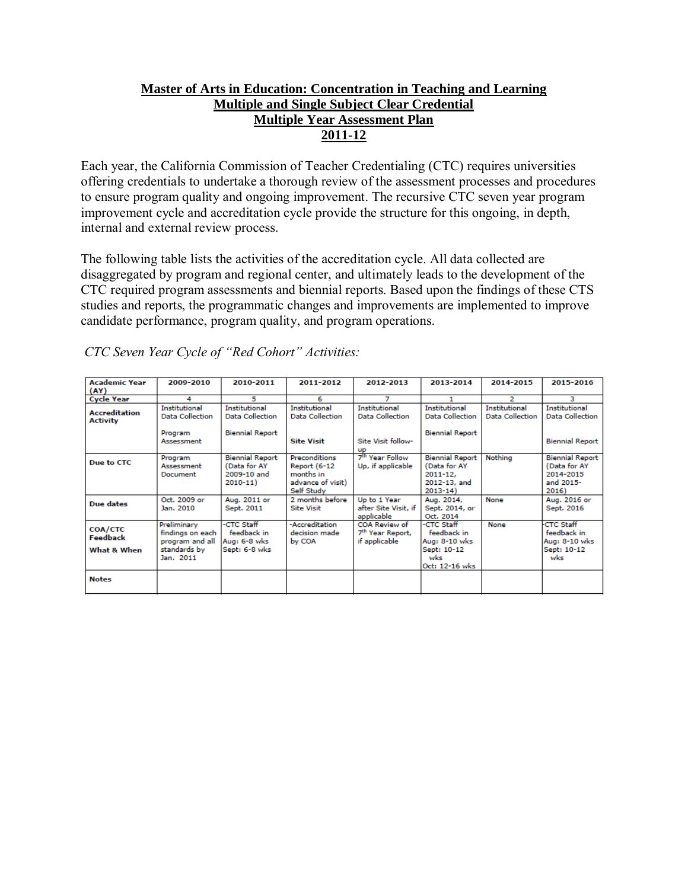# **Master of Arts in Education: Concentration in Teaching and Learning Multiple and Single Subject Clear Credential Multiple Year Assessment Plan 2011-12**

Each year, the California Commission of Teacher Credentialing (CTC) requires universities offering credentials to undertake a thorough review of the assessment processes and procedures to ensure program quality and ongoing improvement. The recursive CTC seven year program improvement cycle and accreditation cycle provide the structure for this ongoing, in depth, internal and external review process.

The following table lists the activities of the accreditation cycle. All data collected are disaggregated by program and regional center, and ultimately leads to the development of the CTC required program assessments and biennial reports. Based upon the findings of these CTS studies and reports, the programmatic changes and improvements are implemented to improve candidate performance, program quality, and program operations.

| <b>Academic Year</b>                    | 2009-2010                                                                       | 2010-2011                                                            | 2011-2012                                                                             | 2012-2013                                                      | 2013-2014                                                                             | 2014-2015                                      | 2015-2016                                                                 |
|-----------------------------------------|---------------------------------------------------------------------------------|----------------------------------------------------------------------|---------------------------------------------------------------------------------------|----------------------------------------------------------------|---------------------------------------------------------------------------------------|------------------------------------------------|---------------------------------------------------------------------------|
| (AY)                                    |                                                                                 |                                                                      |                                                                                       |                                                                |                                                                                       |                                                |                                                                           |
| <b>Cycle Year</b>                       | 4                                                                               | 5                                                                    | 6                                                                                     | 7                                                              |                                                                                       | 2                                              | з                                                                         |
| <b>Accreditation</b><br><b>Activity</b> | <b>Institutional</b><br><b>Data Collection</b>                                  | <b>Institutional</b><br>Data Collection                              | <b>Institutional</b><br>Data Collection                                               | Institutional<br>Data Collection                               | Institutional<br>Data Collection                                                      | <b>Institutional</b><br><b>Data Collection</b> | Institutional<br><b>Data Collection</b>                                   |
|                                         | Program<br>Assessment                                                           | <b>Biennial Report</b>                                               | <b>Site Visit</b>                                                                     | Site Visit follow-<br><b>UP</b>                                | <b>Biennial Report</b>                                                                |                                                | <b>Biennial Report</b>                                                    |
| Due to CTC                              | Program<br>Assessment<br>Document                                               | <b>Biennial Report</b><br>(Data for AY<br>2009-10 and<br>$2010 - 11$ | Preconditions<br><b>Report (6-12)</b><br>months in<br>advance of visit)<br>Self Study | 7 <sup>th</sup> Year Follow<br>Up, if applicable               | <b>Biennial Report</b><br>(Data for AY<br>$2011 - 12.$<br>2012-13, and<br>$2013 - 14$ | Nothing                                        | <b>Biennial Report</b><br>(Data for AY<br>2014-2015<br>and 2015-<br>2016) |
| Due dates                               | Oct. 2009 or<br>Jan. 2010                                                       | Aug. 2011 or<br>Sept. 2011                                           | 2 months before<br><b>Site Visit</b>                                                  | Up to 1 Year<br>after Site Visit, if<br>applicable             | Aug. 2014,<br>Sept. 2014, or<br>Oct. 2014                                             | None                                           | Aug. 2016 or<br>Sept. 2016                                                |
| COA/CTC<br>Feedback<br>What & When      | Preliminary<br>findings on each<br>program and all<br>standards by<br>Jan. 2011 | -CTC Staff<br>feedback in<br>Aug: 6-8 wks<br>Sept: 6-8 wks           | -Accreditation<br>decision made<br>by COA                                             | COA Review of<br>7 <sup>th</sup> Year Report,<br>if applicable | -CTC Staff<br>feedback in<br>Aug: 8-10 wks<br>Sept: 10-12<br>wks<br>Oct: 12-16 wks    | None                                           | <b>CTC Staff</b><br>feedback in<br>Aug: 8-10 wks<br>Sept: 10-12<br>wks    |
| <b>Notes</b>                            |                                                                                 |                                                                      |                                                                                       |                                                                |                                                                                       |                                                |                                                                           |

*CTC Seven Year Cycle of "Red Cohort" Activities:*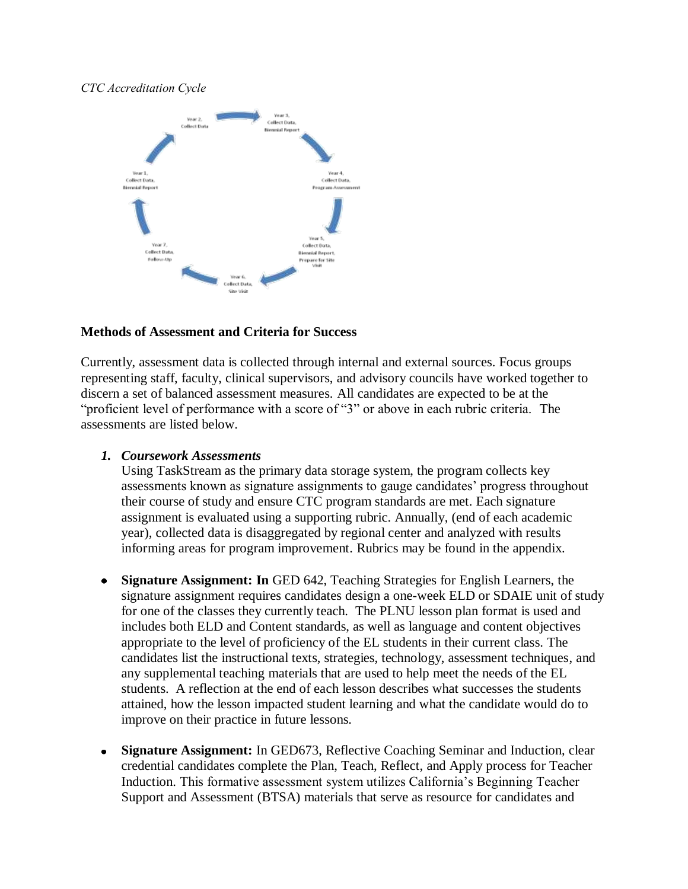### *CTC Accreditation Cycle*



### **Methods of Assessment and Criteria for Success**

Currently, assessment data is collected through internal and external sources. Focus groups representing staff, faculty, clinical supervisors, and advisory councils have worked together to discern a set of balanced assessment measures. All candidates are expected to be at the "proficient level of performance with a score of "3" or above in each rubric criteria. The assessments are listed below.

#### *1. Coursework Assessments*

Using TaskStream as the primary data storage system, the program collects key assessments known as signature assignments to gauge candidates' progress throughout their course of study and ensure CTC program standards are met. Each signature assignment is evaluated using a supporting rubric. Annually, (end of each academic year), collected data is disaggregated by regional center and analyzed with results informing areas for program improvement. Rubrics may be found in the appendix.

- **Signature Assignment: In** GED 642, Teaching Strategies for English Learners, the signature assignment requires candidates design a one-week ELD or SDAIE unit of study for one of the classes they currently teach. The PLNU lesson plan format is used and includes both ELD and Content standards, as well as language and content objectives appropriate to the level of proficiency of the EL students in their current class. The candidates list the instructional texts, strategies, technology, assessment techniques, and any supplemental teaching materials that are used to help meet the needs of the EL students. A reflection at the end of each lesson describes what successes the students attained, how the lesson impacted student learning and what the candidate would do to improve on their practice in future lessons.
- **Signature Assignment:** In GED673, Reflective Coaching Seminar and Induction, clear  $\bullet$ credential candidates complete the Plan, Teach, Reflect, and Apply process for Teacher Induction. This formative assessment system utilizes California's Beginning Teacher Support and Assessment (BTSA) materials that serve as resource for candidates and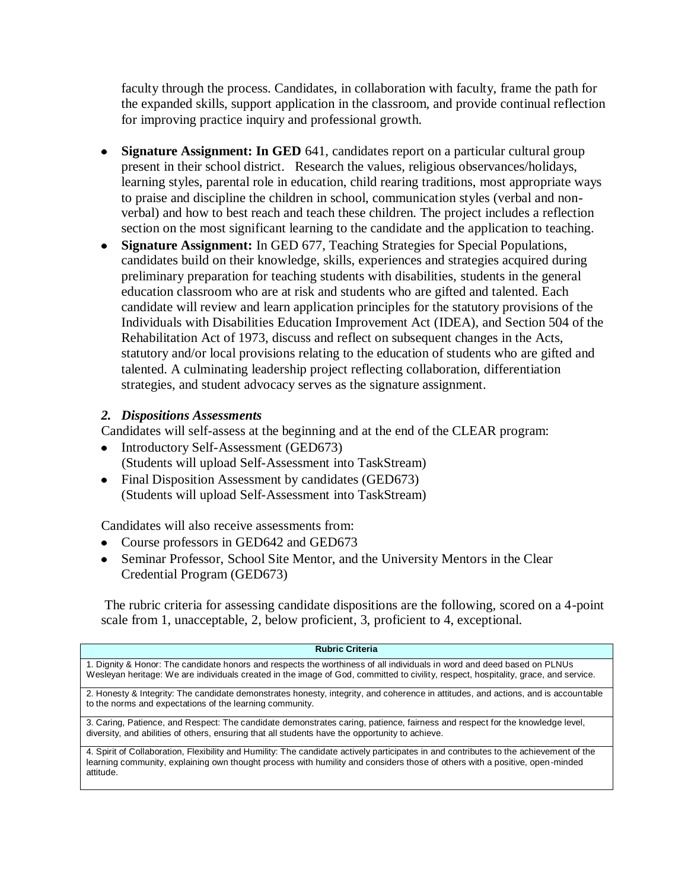faculty through the process. Candidates, in collaboration with faculty, frame the path for the expanded skills, support application in the classroom, and provide continual reflection for improving practice inquiry and professional growth.

- **Signature Assignment: In GED** 641, candidates report on a particular cultural group  $\bullet$ present in their school district. Research the values, religious observances/holidays, learning styles, parental role in education, child rearing traditions, most appropriate ways to praise and discipline the children in school, communication styles (verbal and nonverbal) and how to best reach and teach these children. The project includes a reflection section on the most significant learning to the candidate and the application to teaching.
- **Signature Assignment:** In GED 677, Teaching Strategies for Special Populations,  $\bullet$ candidates build on their knowledge, skills, experiences and strategies acquired during preliminary preparation for teaching students with disabilities, students in the general education classroom who are at risk and students who are gifted and talented. Each candidate will review and learn application principles for the statutory provisions of the Individuals with Disabilities Education Improvement Act (IDEA), and Section 504 of the Rehabilitation Act of 1973, discuss and reflect on subsequent changes in the Acts, statutory and/or local provisions relating to the education of students who are gifted and talented. A culminating leadership project reflecting collaboration, differentiation strategies, and student advocacy serves as the signature assignment.

## *2. Dispositions Assessments*

Candidates will self-assess at the beginning and at the end of the CLEAR program:

- Introductory Self-Assessment (GED673) (Students will upload Self-Assessment into TaskStream)
- Final Disposition Assessment by candidates (GED673) (Students will upload Self-Assessment into TaskStream)

Candidates will also receive assessments from:

- Course professors in GED642 and GED673
- Seminar Professor, School Site Mentor, and the University Mentors in the Clear Credential Program (GED673)

The rubric criteria for assessing candidate dispositions are the following, scored on a 4-point scale from 1, unacceptable, 2, below proficient, 3, proficient to 4, exceptional.

| <b>Rubric Criteria</b>                                                                                                                                                                                                                                                             |
|------------------------------------------------------------------------------------------------------------------------------------------------------------------------------------------------------------------------------------------------------------------------------------|
| 1. Dignity & Honor: The candidate honors and respects the worthiness of all individuals in word and deed based on PLNUs<br>Wesleyan heritage: We are individuals created in the image of God, committed to civility, respect, hospitality, grace, and service.                     |
| 2. Honesty & Integrity: The candidate demonstrates honesty, integrity, and coherence in attitudes, and actions, and is accountable<br>to the norms and expectations of the learning community.                                                                                     |
| 3. Caring, Patience, and Respect: The candidate demonstrates caring, patience, fairness and respect for the knowledge level,<br>diversity, and abilities of others, ensuring that all students have the opportunity to achieve.                                                    |
| 4. Spirit of Collaboration, Flexibility and Humility: The candidate actively participates in and contributes to the achievement of the<br>learning community, explaining own thought process with humility and considers those of others with a positive, open-minded<br>attitude. |